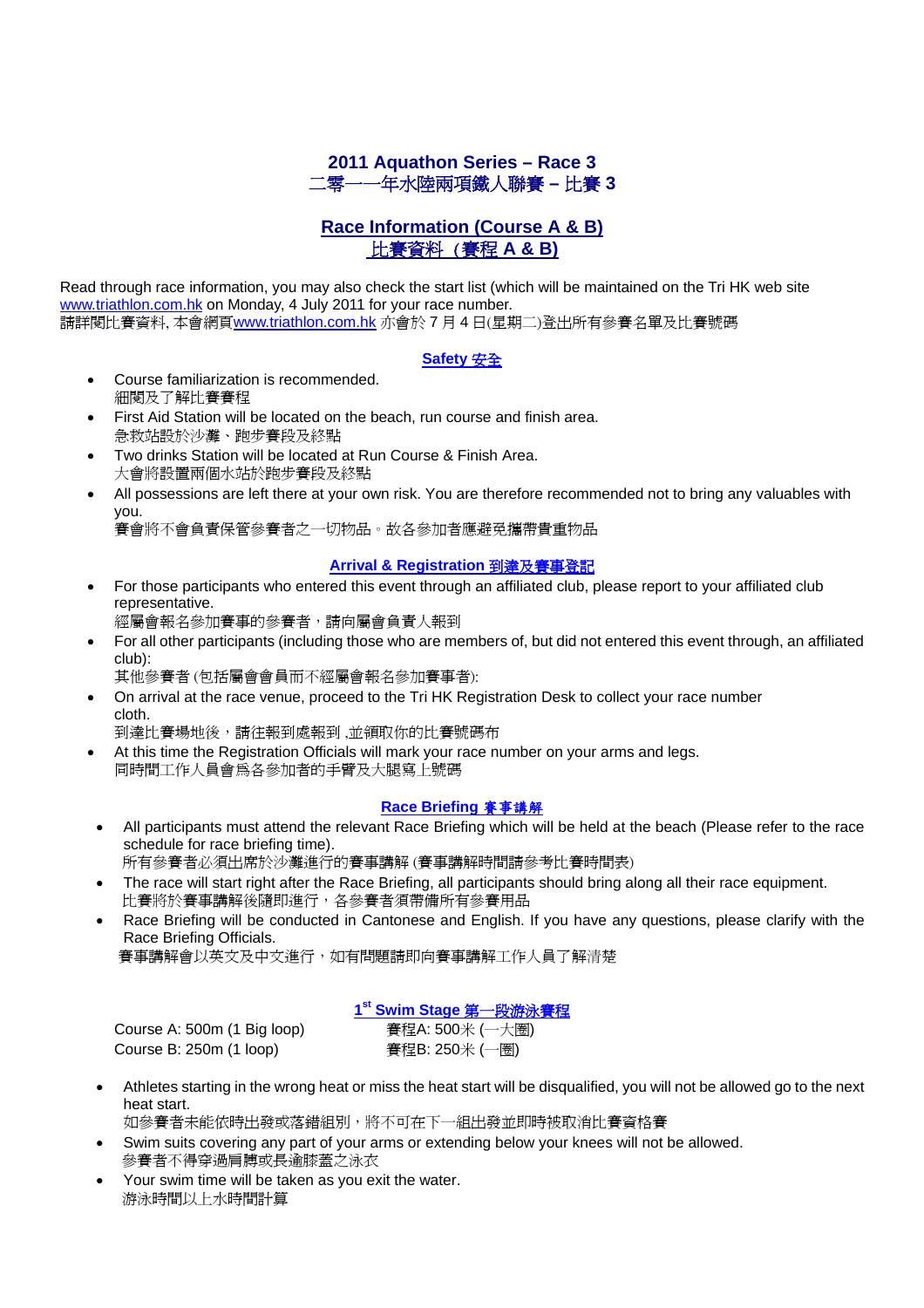# **2011 Aquathon Series – Race 3**  二零一一年水陸兩項鐵人聯賽 **–** 比賽 **3**

# **Race Information (Course A & B)** 比賽資料 (賽程 **A & B)**

Read through race information, you may also check the start list (which will be maintained on the Tri HK web site www.triathlon.com.hk on Monday, 4 July 2011 for your race number. 請詳閱比賽資料, 本會網頁www.triathlon.com.hk 亦會於 7 月 4 日(星期二)登出所有參賽名單及比賽號碼

### **Safety** 安全

- Course familiarization is recommended. 細閱及了解比賽賽程
- First Aid Station will be located on the beach, run course and finish area. 急救站設於沙灘、跑步賽段及終點
- Two drinks Station will be located at Run Course & Finish Area. 大會將設置兩個水站於跑步賽段及終點
- All possessions are left there at your own risk. You are therefore recommended not to bring any valuables with you.

賽會將不會負責保管參賽者之一切物品。故各參加者應避免攜帶貴重物品

### **Arrival & Registration** 到達及賽事登記

• For those participants who entered this event through an affiliated club, please report to your affiliated club representative.

經屬會報名參加賽事的參賽者,請向屬會負責人報到

- For all other participants (including those who are members of, but did not entered this event through, an affiliated club):
	- 其他參賽者 (包括屬會會員而不經屬會報名參加賽事者):
- On arrival at the race venue, proceed to the Tri HK Registration Desk to collect your race number cloth.

到達比賽場地後,請往報到處報到 ,並領取你的比賽號碼布

• At this time the Registration Officials will mark your race number on your arms and legs. 同時間工作人員會為各參加者的手臂及大腿寫上號碼

# **Race Briefing** 賽事講解

• All participants must attend the relevant Race Briefing which will be held at the beach (Please refer to the race schedule for race briefing time).

所有參賽者必須出席於沙灘進行的賽事講解 (賽事講解時間請參考比賽時間表)

- The race will start right after the Race Briefing, all participants should bring along all their race equipment. 比賽將於賽事講解後隨即進行,各參賽者須帶備所有參賽用品
- Race Briefing will be conducted in Cantonese and English. If you have any questions, please clarify with the Race Briefing Officials.

賽事講解會以英文及中文進行,如有問題請即向賽事講解工作人員了解清楚

# **1st Swim Stage** 第一段游泳賽程

 Course A: 500m (1 Big loop) 賽程A: 500米 (一大圈) Course B: 250m (1 loop) <br>
著程B: 250米 (一圈)

• Athletes starting in the wrong heat or miss the heat start will be disqualified, you will not be allowed go to the next heat start.

如參賽者未能依時出發或落錯組別,將不可在下一組出發並即時被取消比賽資格賽

- Swim suits covering any part of your arms or extending below your knees will not be allowed. 參賽者不得穿過肩膊或長逾膝蓋之泳衣
- Your swim time will be taken as you exit the water. 游泳時間以上水時間計算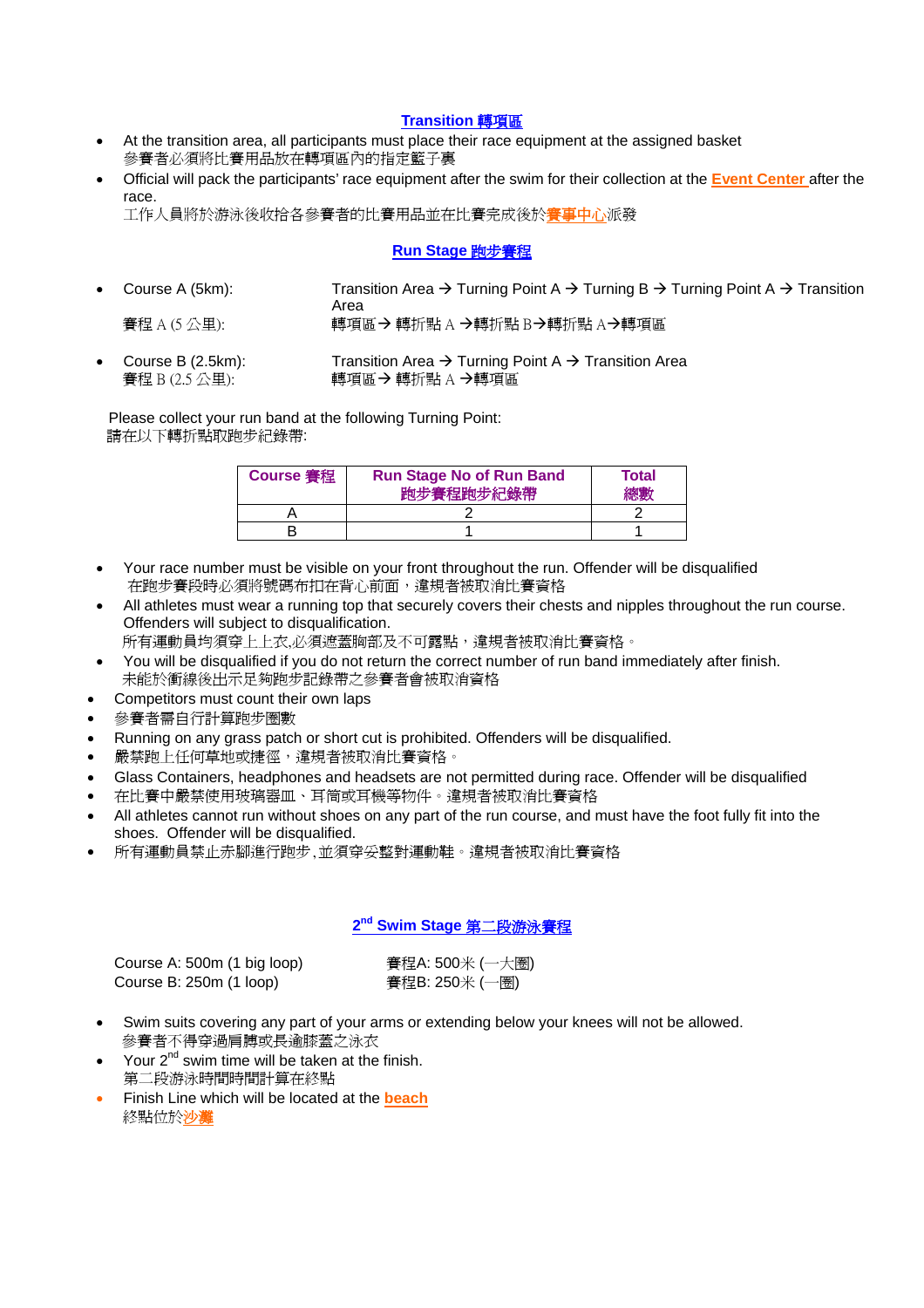#### **Transition** 轉項區

- At the transition area, all participants must place their race equipment at the assigned basket 參賽者必須將比賽用品放在轉項區內的指定籃子裏
- Official will pack the participants' race equipment after the swim for their collection at the **Event Center** after the race.

工作人員將於游泳後收拾各參賽者的比賽用品並在比賽完成後於賽事中心派發

### **Run Stage** 跑步賽程

- Course A (5km): Transition Area  $\rightarrow$  Turning Point A  $\rightarrow$  Turning B  $\rightarrow$  Turning Point A  $\rightarrow$  Transition **Area** Area Area 賽程 A (5 公里): 轉項區Æ 轉折點 A Æ轉折點 BÆ轉折點 AÆ轉項區
- Course B (2.5km): Transition Area  $\rightarrow$  Turning Point A  $\rightarrow$  Transition Area 賽程 B (2.5 公里):  $\Pi$  轉項區 → 轉折點 A →轉項區

 Please collect your run band at the following Turning Point: 請在以下轉折點取跑步紀錄帶:

| <b>Course 審程</b> | <b>Run Stage No of Run Band</b><br>跑步賽程跑步紀錄帶 | Total<br>總數 |
|------------------|----------------------------------------------|-------------|
|                  |                                              |             |
|                  |                                              |             |

- Your race number must be visible on your front throughout the run. Offender will be disqualified 在跑步賽段時必須將號碼布扣在背心前面,違規者被取消比賽資格
- All athletes must wear a running top that securely covers their chests and nipples throughout the run course. Offenders will subject to disqualification.

所有運動員均須穿上上衣,必須遮蓋胸部及不可露點,違規者被取消比賽資格。

- You will be disqualified if you do not return the correct number of run band immediately after finish. 未能於衝線後出示足夠跑步記錄帶之參賽者會被取消資格
- Competitors must count their own laps
- 參賽者需自行計算跑步圈數
- Running on any grass patch or short cut is prohibited. Offenders will be disqualified.
- 嚴禁跑上任何草地或捷徑,違規者被取消比賽資格。
- Glass Containers, headphones and headsets are not permitted during race. Offender will be disqualified
- 在比賽中嚴禁使用玻璃器皿、耳筒或耳機等物件。違規者被取消比賽資格
- All athletes cannot run without shoes on any part of the run course, and must have the foot fully fit into the shoes. Offender will be disqualified.
- 所有運動員禁止赤腳進行跑步,並須穿妥整對運動鞋。違規者被取消比賽資格

## **2nd Swim Stage** 第二段游泳賽程

| Course A: 500m (1 big loop) |  |
|-----------------------------|--|
| Course B: 250m (1 loop)     |  |

審程A: 500米 (一大圈) **謇程B: 250米 (一圈)** 

- Swim suits covering any part of your arms or extending below your knees will not be allowed. 參賽者不得穿過肩膊或長逾膝蓋之泳衣
- Your  $2^{nd}$  swim time will be taken at the finish. 第二段游泳時間時間計算在終點
- Finish Line which will be located at the **beach**  終點位於沙灘